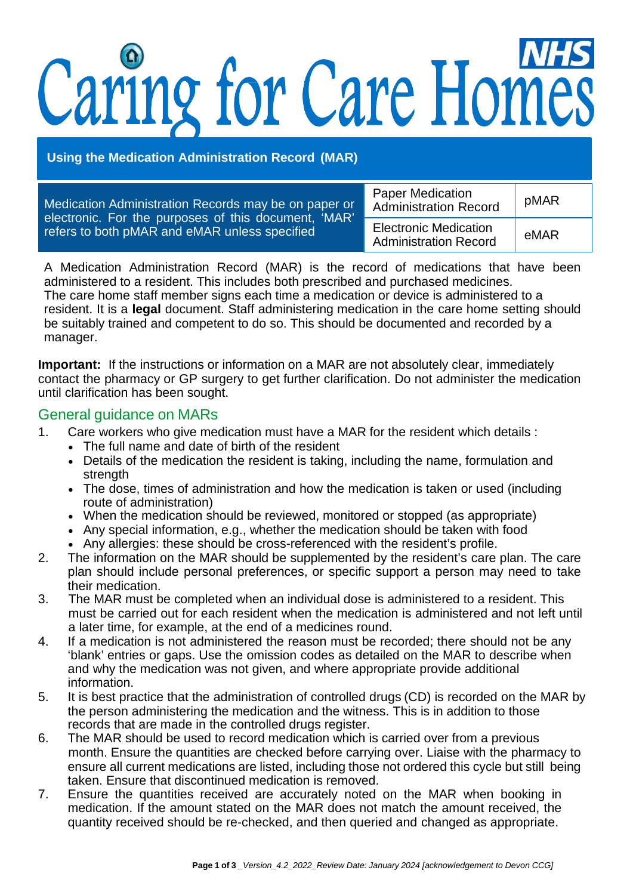# Caring for Care Homes

**Using the Medication Administration Record (MAR)**

| Medication Administration Records may be on paper or<br>electronic. For the purposes of this document, 'MAR'<br>refers to both pMAR and eMAR unless specified | <b>Paper Medication</b><br><b>Administration Record</b>      | pMAR |
|---------------------------------------------------------------------------------------------------------------------------------------------------------------|--------------------------------------------------------------|------|
|                                                                                                                                                               | <b>Electronic Medication</b><br><b>Administration Record</b> | eMAR |

A Medication Administration Record (MAR) is the record of medications that have been administered to a resident. This includes both prescribed and purchased medicines. The care home staff member signs each time a medication or device is administered to a resident. It is a **legal** document. Staff administering medication in the care home setting should be suitably trained and competent to do so. This should be documented and recorded by a manager.

**Important:** If the instructions or information on a MAR are not absolutely clear, immediately contact the pharmacy or GP surgery to get further clarification. Do not administer the medication until clarification has been sought.

# General guidance on MARs

- 1. Care workers who give medication must have a MAR for the resident which details :
	- The full name and date of birth of the resident
	- Details of the medication the resident is taking, including the name, formulation and strength
	- The dose, times of administration and how the medication is taken or used (including route of administration)
	- When the medication should be reviewed, monitored or stopped (as appropriate)
	- Any special information, e.g., whether the medication should be taken with food
	- Any allergies: these should be cross-referenced with the resident's profile.
- 2. The information on the MAR should be supplemented by the resident's care plan. The care plan should include personal preferences, or specific support a person may need to take their medication.
- 3. The MAR must be completed when an individual dose is administered to a resident. This must be carried out for each resident when the medication is administered and not left until a later time, for example, at the end of a medicines round.
- 4. If a medication is not administered the reason must be recorded; there should not be any 'blank' entries or gaps. Use the omission codes as detailed on the MAR to describe when and why the medication was not given, and where appropriate provide additional information.
- 5. It is best practice that the administration of controlled drugs (CD) is recorded on the MAR by the person administering the medication and the witness. This is in addition to those records that are made in the controlled drugs register.
- 6. The MAR should be used to record medication which is carried over from a previous month. Ensure the quantities are checked before carrying over. Liaise with the pharmacy to ensure all current medications are listed, including those not ordered this cycle but still being taken. Ensure that discontinued medication is removed.
- 7. Ensure the quantities received are accurately noted on the MAR when booking in medication. If the amount stated on the MAR does not match the amount received, the quantity received should be re-checked, and then queried and changed as appropriate.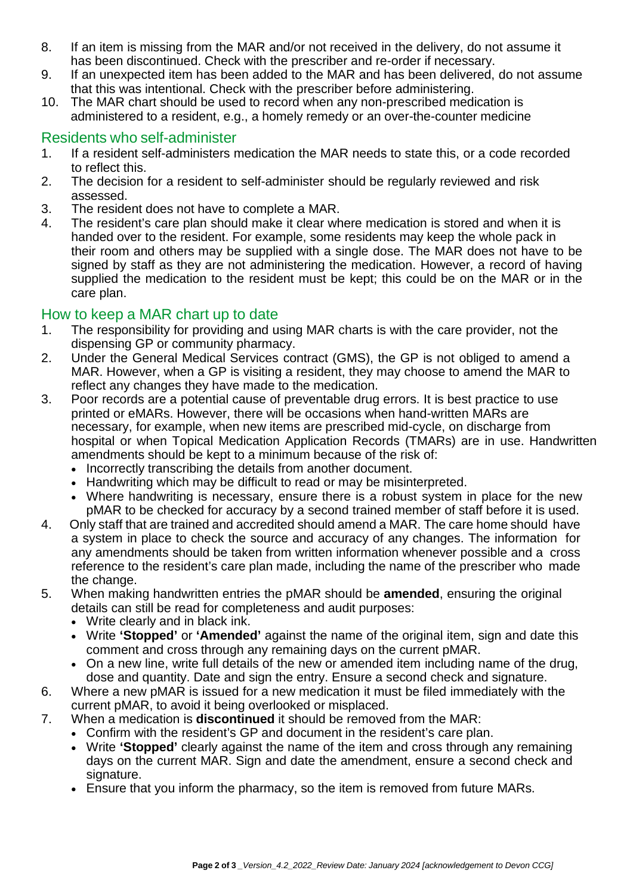- 8. If an item is missing from the MAR and/or not received in the delivery, do not assume it has been discontinued. Check with the prescriber and re-order if necessary.
- 9. If an unexpected item has been added to the MAR and has been delivered, do not assume that this was intentional. Check with the prescriber before administering.
- 10. The MAR chart should be used to record when any non-prescribed medication is administered to a resident, e.g., a homely remedy or an over-the-counter medicine

# Residents who self-administer<br>1. If a resident self-administers n

- If a resident self-administers medication the MAR needs to state this, or a code recorded to reflect this.
- 2. The decision for a resident to self-administer should be regularly reviewed and risk assessed.
- 3. The resident does not have to complete a MAR.
- 4. The resident's care plan should make it clear where medication is stored and when it is handed over to the resident. For example, some residents may keep the whole pack in their room and others may be supplied with a single dose. The MAR does not have to be signed by staff as they are not administering the medication. However, a record of having supplied the medication to the resident must be kept; this could be on the MAR or in the care plan.

#### How to keep a MAR chart up to date

- 1. The responsibility for providing and using MAR charts is with the care provider, not the dispensing GP or community pharmacy.
- 2. Under the General Medical Services contract (GMS), the GP is not obliged to amend a MAR. However, when a GP is visiting a resident, they may choose to amend the MAR to reflect any changes they have made to the medication.
- 3. Poor records are a potential cause of preventable drug errors. It is best practice to use printed or eMARs. However, there will be occasions when hand-written MARs are necessary, for example, when new items are prescribed mid-cycle, on discharge from hospital or when Topical Medication Application Records (TMARs) are in use. Handwritten amendments should be kept to a minimum because of the risk of:
	- Incorrectly transcribing the details from another document.
	- Handwriting which may be difficult to read or may be misinterpreted.
	- Where handwriting is necessary, ensure there is a robust system in place for the new pMAR to be checked for accuracy by a second trained member of staff before it is used.
- 4. Only staff that are trained and accredited should amend a MAR. The care home should have a system in place to check the source and accuracy of any changes. The information for any amendments should be taken from written information whenever possible and a cross reference to the resident's care plan made, including the name of the prescriber who made the change.
- 5. When making handwritten entries the pMAR should be **amended**, ensuring the original details can still be read for completeness and audit purposes:
	- Write clearly and in black ink.
	- Write **'Stopped'** or **'Amended'** against the name of the original item, sign and date this comment and cross through any remaining days on the current pMAR.
	- On a new line, write full details of the new or amended item including name of the drug, dose and quantity. Date and sign the entry. Ensure a second check and signature.
- 6. Where a new pMAR is issued for a new medication it must be filed immediately with the current pMAR, to avoid it being overlooked or misplaced.
- 7. When a medication is **discontinued** it should be removed from the MAR:
	- Confirm with the resident's GP and document in the resident's care plan.
		- Write **'Stopped'** clearly against the name of the item and cross through any remaining days on the current MAR. Sign and date the amendment, ensure a second check and signature.
		- Ensure that you inform the pharmacy, so the item is removed from future MARs.